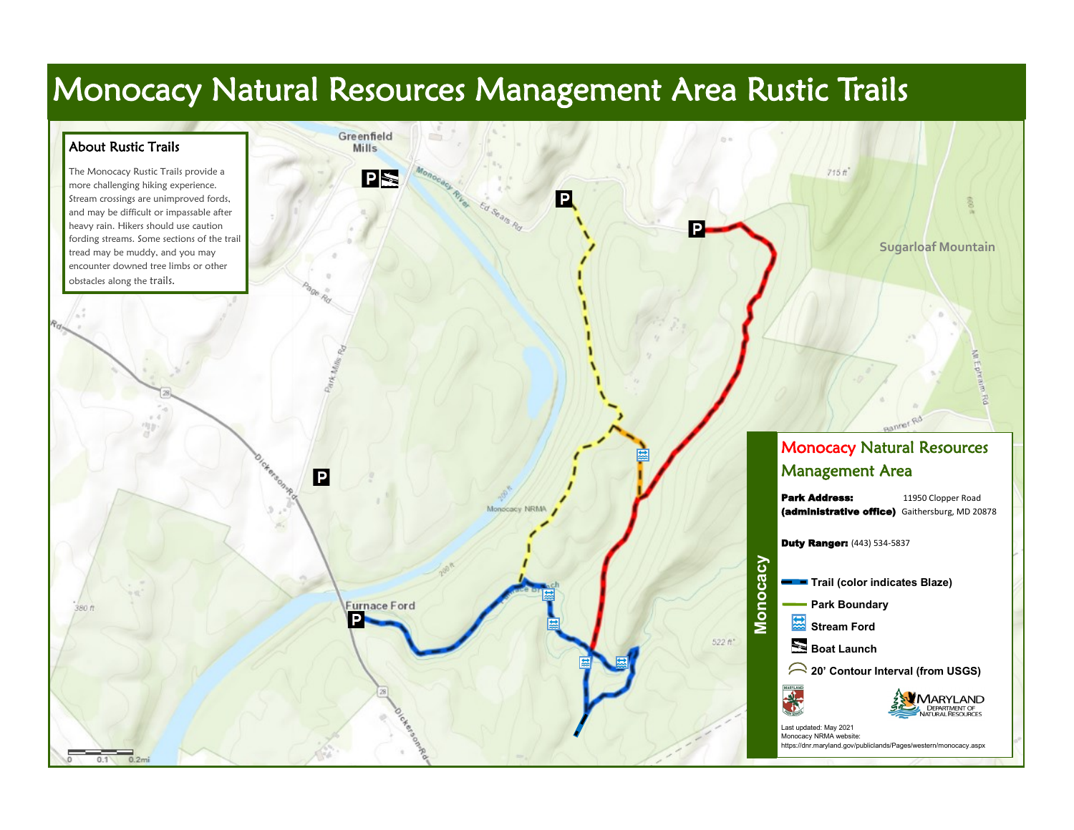## Monocacy Natural Resources Management Area Rustic Trails